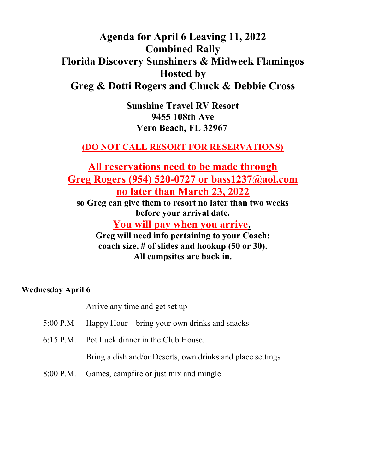# Agenda for April 6 Leaving 11, 2022 Combined Rally Florida Discovery Sunshiners & Midweek Flamingos Hosted by Greg & Dotti Rogers and Chuck & Debbie Cross

Sunshine Travel RV Resort 9455 108th Ave Vero Beach, FL 32967

# (DO NOT CALL RESORT FOR RESERVATIONS)

All reservations need to be made through Greg Rogers (954) 520-0727 or bass1237@aol.com no later than March 23, 2022 so Greg can give them to resort no later than two weeks before your arrival date. You will pay when you arrive. Greg will need info pertaining to your Coach: coach size, # of slides and hookup (50 or 30). All campsites are back in.

Wednesday April 6

Arrive any time and get set up

- 5:00 P.M Happy Hour bring your own drinks and snacks
- 6:15 P.M. Pot Luck dinner in the Club House.

Bring a dish and/or Deserts, own drinks and place settings

8:00 P.M. Games, campfire or just mix and mingle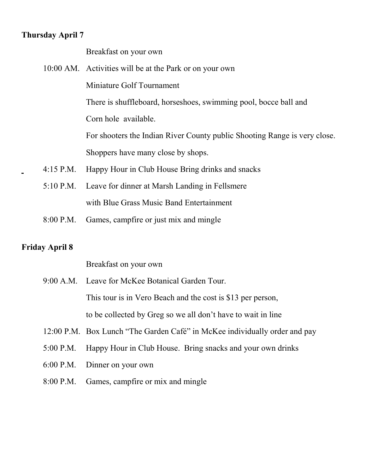## Thursday April 7

Breakfast on your own

10:00 AM. Activities will be at the Park or on your own Miniature Golf Tournament There is shuffleboard, horseshoes, swimming pool, bocce ball and Corn hole available. For shooters the Indian River County public Shooting Range is very close. Shoppers have many close by shops. 4:15 P.M. Happy Hour in Club House Bring drinks and snacks 5:10 P.M. Leave for dinner at Marsh Landing in Fellsmere

with Blue Grass Music Band Entertainment

8:00 P.M. Games, campfire or just mix and mingle

## Friday April 8

Breakfast on your own

- 9:00 A.M. Leave for McKee Botanical Garden Tour. This tour is in Vero Beach and the cost is \$13 per person, to be collected by Greg so we all don't have to wait in line
- 12:00 P.M. Box Lunch "The Garden Café" in McKee individually order and pay
- 5:00 P.M. Happy Hour in Club House. Bring snacks and your own drinks
- 6:00 P.M. Dinner on your own
- 8:00 P.M. Games, campfire or mix and mingle